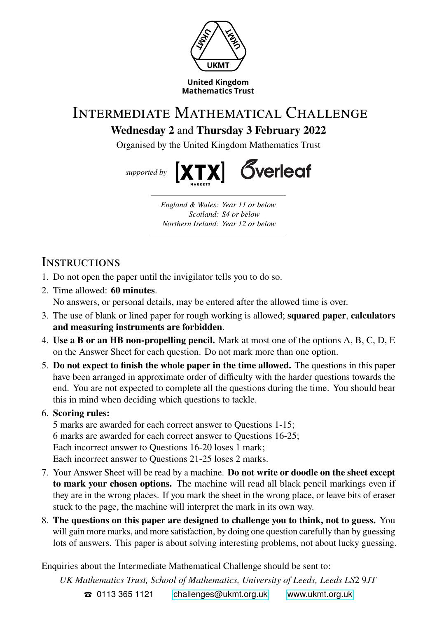

## Intermediate Mathematical Challenge **Wednesday 2** and **Thursday 3 February 2022**

Organised by the United Kingdom Mathematics Trust



*England & Wales: Year 11 or below Scotland: S4 or below Northern Ireland: Year 12 or below*

## **INSTRUCTIONS**

- 1. Do not open the paper until the invigilator tells you to do so.
- 2. Time allowed: **60 minutes**. No answers, or personal details, may be entered after the allowed time is over.
- 3. The use of blank or lined paper for rough working is allowed; **squared paper**, **calculators and measuring instruments are forbidden**.
- 4. **Use a B or an HB non-propelling pencil.** Mark at most one of the options A, B, C, D, E on the Answer Sheet for each question. Do not mark more than one option.
- 5. **Do not expect to finish the whole paper in the time allowed.** The questions in this paper have been arranged in approximate order of difficulty with the harder questions towards the end. You are not expected to complete all the questions during the time. You should bear this in mind when deciding which questions to tackle.
- 6. **Scoring rules:**

5 marks are awarded for each correct answer to Questions 1-15; 6 marks are awarded for each correct answer to Questions 16-25; Each incorrect answer to Questions 16-20 loses 1 mark; Each incorrect answer to Questions 21-25 loses 2 marks.

- 7. Your Answer Sheet will be read by a machine. **Do not write or doodle on the sheet except to mark your chosen options.** The machine will read all black pencil markings even if they are in the wrong places. If you mark the sheet in the wrong place, or leave bits of eraser stuck to the page, the machine will interpret the mark in its own way.
- 8. **The questions on this paper are designed to challenge you to think, not to guess.** You will gain more marks, and more satisfaction, by doing one question carefully than by guessing lots of answers. This paper is about solving interesting problems, not about lucky guessing.

Enquiries about the Intermediate Mathematical Challenge should be sent to:

UK Mathematics Trust, School of Mathematics, University of Leeds, Leeds LS2 9JT T 0113 365 1121 [challenges@ukmt.org.uk](mailto:\UKMTemail ) [www.ukmt.org.uk](http://\UKMTweb )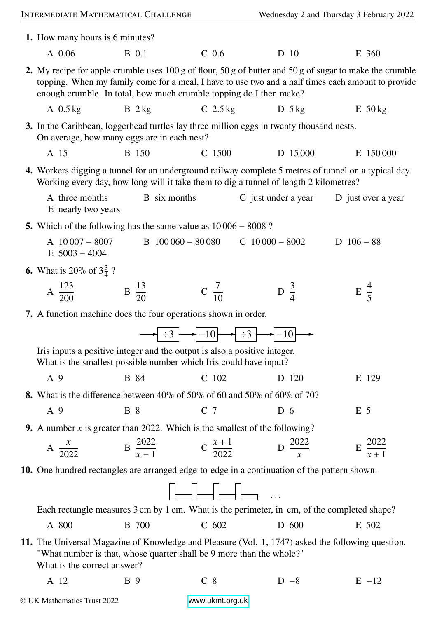|                                                                                                                                                                                               | INTERMEDIATE MATHEMATICAL CHALLENGE                                                                                                                                                                                                                                                  |                                                                |                                                                                                                                                                                                                                                                                                                                                                                                                                                                                                | Wednesday 2 and Thursday 3 February 2022                                                    |                      |  |
|-----------------------------------------------------------------------------------------------------------------------------------------------------------------------------------------------|--------------------------------------------------------------------------------------------------------------------------------------------------------------------------------------------------------------------------------------------------------------------------------------|----------------------------------------------------------------|------------------------------------------------------------------------------------------------------------------------------------------------------------------------------------------------------------------------------------------------------------------------------------------------------------------------------------------------------------------------------------------------------------------------------------------------------------------------------------------------|---------------------------------------------------------------------------------------------|----------------------|--|
|                                                                                                                                                                                               | 1. How many hours is 6 minutes?                                                                                                                                                                                                                                                      |                                                                |                                                                                                                                                                                                                                                                                                                                                                                                                                                                                                |                                                                                             |                      |  |
|                                                                                                                                                                                               | A 0.06                                                                                                                                                                                                                                                                               | <b>B</b> 0.1                                                   | C <sub>0.6</sub>                                                                                                                                                                                                                                                                                                                                                                                                                                                                               | D 10                                                                                        | E 360                |  |
|                                                                                                                                                                                               | 2. My recipe for apple crumble uses 100 g of flour, 50 g of butter and 50 g of sugar to make the crumble<br>topping. When my family come for a meal, I have to use two and a half times each amount to provide<br>enough crumble. In total, how much crumble topping do I then make? |                                                                |                                                                                                                                                                                                                                                                                                                                                                                                                                                                                                |                                                                                             |                      |  |
|                                                                                                                                                                                               | A $0.5$ kg                                                                                                                                                                                                                                                                           | $B$ 2 kg                                                       | $C$ 2.5 kg                                                                                                                                                                                                                                                                                                                                                                                                                                                                                     | D $5 \text{ kg}$                                                                            | $E$ 50 kg            |  |
|                                                                                                                                                                                               | 3. In the Caribbean, loggerhead turtles lay three million eggs in twenty thousand nests.<br>On average, how many eggs are in each nest?                                                                                                                                              |                                                                |                                                                                                                                                                                                                                                                                                                                                                                                                                                                                                |                                                                                             |                      |  |
|                                                                                                                                                                                               | A 15                                                                                                                                                                                                                                                                                 | <b>B</b> 150                                                   | C 1500                                                                                                                                                                                                                                                                                                                                                                                                                                                                                         | D 15000                                                                                     | E 150000             |  |
| 4. Workers digging a tunnel for an underground railway complete 5 metres of tunnel on a typical day.<br>Working every day, how long will it take them to dig a tunnel of length 2 kilometres? |                                                                                                                                                                                                                                                                                      |                                                                |                                                                                                                                                                                                                                                                                                                                                                                                                                                                                                |                                                                                             |                      |  |
|                                                                                                                                                                                               | A three months<br>E nearly two years                                                                                                                                                                                                                                                 | <b>B</b> six months                                            |                                                                                                                                                                                                                                                                                                                                                                                                                                                                                                | C just under a year                                                                         | D just over a year   |  |
|                                                                                                                                                                                               | 5. Which of the following has the same value as $10006 - 8008$ ?                                                                                                                                                                                                                     |                                                                |                                                                                                                                                                                                                                                                                                                                                                                                                                                                                                |                                                                                             |                      |  |
|                                                                                                                                                                                               | A $10007 - 8007$<br>$E$ 5003 - 4004                                                                                                                                                                                                                                                  |                                                                | $B$ 100 060 - 80 080                                                                                                                                                                                                                                                                                                                                                                                                                                                                           | $C$ 10 000 - 8002                                                                           | D $106 - 88$         |  |
|                                                                                                                                                                                               | <b>6.</b> What is 20% of $3\frac{3}{4}$ ?                                                                                                                                                                                                                                            |                                                                |                                                                                                                                                                                                                                                                                                                                                                                                                                                                                                |                                                                                             |                      |  |
|                                                                                                                                                                                               | A $\frac{123}{200}$                                                                                                                                                                                                                                                                  | $\mathbf{B} \frac{13}{20}$                                     | $C \frac{7}{10}$                                                                                                                                                                                                                                                                                                                                                                                                                                                                               | $\frac{3}{4}$                                                                               | $E\frac{4}{5}$       |  |
|                                                                                                                                                                                               |                                                                                                                                                                                                                                                                                      | 7. A function machine does the four operations shown in order. |                                                                                                                                                                                                                                                                                                                                                                                                                                                                                                |                                                                                             |                      |  |
|                                                                                                                                                                                               |                                                                                                                                                                                                                                                                                      |                                                                | $\rightarrow$ $\div 3$ $\rightarrow$ $\leftarrow$ $\leftarrow$ $\leftarrow$ $\leftarrow$ $\leftarrow$ $\leftarrow$ $\leftarrow$ $\leftarrow$ $\leftarrow$ $\leftarrow$ $\leftarrow$ $\leftarrow$ $\leftarrow$ $\leftarrow$ $\leftarrow$ $\leftarrow$ $\leftarrow$ $\leftarrow$ $\leftarrow$ $\leftarrow$ $\leftarrow$ $\leftarrow$ $\leftarrow$ $\leftarrow$ $\leftarrow$ $\leftarrow$ $\leftarrow$ $\leftarrow$ $\leftarrow$ $\leftarrow$ $\leftarrow$ $\leftarrow$ $\leftarrow$ $\leftarrow$ |                                                                                             |                      |  |
|                                                                                                                                                                                               | Iris inputs a positive integer and the output is also a positive integer.<br>What is the smallest possible number which Iris could have input?                                                                                                                                       |                                                                |                                                                                                                                                                                                                                                                                                                                                                                                                                                                                                |                                                                                             |                      |  |
|                                                                                                                                                                                               | A 9                                                                                                                                                                                                                                                                                  | <b>B</b> 84                                                    | C 102                                                                                                                                                                                                                                                                                                                                                                                                                                                                                          | D 120                                                                                       | E 129                |  |
|                                                                                                                                                                                               | <b>8.</b> What is the difference between 40% of 50% of 60 and 50% of 60% of 70?                                                                                                                                                                                                      |                                                                |                                                                                                                                                                                                                                                                                                                                                                                                                                                                                                |                                                                                             |                      |  |
|                                                                                                                                                                                               | A 9                                                                                                                                                                                                                                                                                  | <b>B</b> 8                                                     | C <sub>7</sub>                                                                                                                                                                                                                                                                                                                                                                                                                                                                                 | D <sub>6</sub>                                                                              | E <sub>5</sub>       |  |
|                                                                                                                                                                                               | 9. A number $x$ is greater than 2022. Which is the smallest of the following?                                                                                                                                                                                                        |                                                                |                                                                                                                                                                                                                                                                                                                                                                                                                                                                                                |                                                                                             |                      |  |
|                                                                                                                                                                                               |                                                                                                                                                                                                                                                                                      |                                                                | A $\frac{x}{2022}$ B $\frac{2022}{x-1}$ C $\frac{x+1}{2022}$ D $\frac{2022}{x}$                                                                                                                                                                                                                                                                                                                                                                                                                |                                                                                             | $E \frac{2022}{x+1}$ |  |
|                                                                                                                                                                                               | 10. One hundred rectangles are arranged edge-to-edge in a continuation of the pattern shown.                                                                                                                                                                                         |                                                                |                                                                                                                                                                                                                                                                                                                                                                                                                                                                                                |                                                                                             |                      |  |
|                                                                                                                                                                                               |                                                                                                                                                                                                                                                                                      |                                                                |                                                                                                                                                                                                                                                                                                                                                                                                                                                                                                |                                                                                             |                      |  |
|                                                                                                                                                                                               |                                                                                                                                                                                                                                                                                      |                                                                |                                                                                                                                                                                                                                                                                                                                                                                                                                                                                                | Each rectangle measures 3 cm by 1 cm. What is the perimeter, in cm, of the completed shape? |                      |  |
|                                                                                                                                                                                               | A 800                                                                                                                                                                                                                                                                                | <b>B</b> 700                                                   | $C$ 602                                                                                                                                                                                                                                                                                                                                                                                                                                                                                        | D 600                                                                                       | E 502                |  |
|                                                                                                                                                                                               | 11. The Universal Magazine of Knowledge and Pleasure (Vol. 1, 1747) asked the following question.<br>"What number is that, whose quarter shall be 9 more than the whole?"<br>What is the correct answer?                                                                             |                                                                |                                                                                                                                                                                                                                                                                                                                                                                                                                                                                                |                                                                                             |                      |  |
|                                                                                                                                                                                               | A 12                                                                                                                                                                                                                                                                                 | <b>B</b> 9                                                     | $C_8$                                                                                                                                                                                                                                                                                                                                                                                                                                                                                          | $D - 8$                                                                                     | $E -12$              |  |
|                                                                                                                                                                                               |                                                                                                                                                                                                                                                                                      |                                                                |                                                                                                                                                                                                                                                                                                                                                                                                                                                                                                |                                                                                             |                      |  |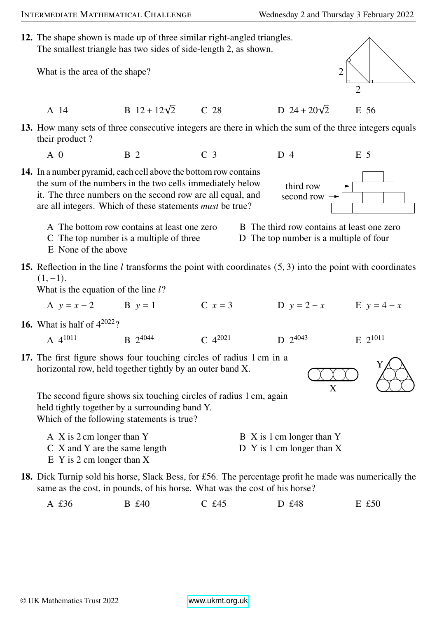## INTERMEDIATE MATHEMATICAL CHALLENGE Wednesday 2 and Thursday 3 February 2022

**12.** The shape shown is made up of three similar right-angled triangles. The smallest triangle has two sides of side-length 2, as shown.

What is the area of the shape?

A 14 B  $12 + 12\sqrt{2}$  C 28 D  $24 + 20\sqrt{2}$ 

**13.** How many sets of three consecutive integers are there in which the sum of the three integers equals their product ?

- A 0 B 2 C 3 D 4 E 5
- **14.** In a number pyramid, each cell above the bottom row contains the sum of the numbers in the two cells immediately below it. The three numbers on the second row are all equal, and are all integers. Which of these statements *must* be true?
	- A The bottom row contains at least one zero B The third row contains at least one zero
	- C The top number is a multiple of three D The top number is a multiple of four
	- E None of the above
- **15.** Reflection in the line  $l$  transforms the point with coordinates  $(5, 3)$  into the point with coordinates  $(1, -1)$ .

What is the equation of the line  $l$ ?

A  $y = x - 2$  B  $y = 1$  C  $x = 3$  D  $y = 2 - x$  E  $y = 4 - x$ 

4044 **C**  $4^{2021}$  **D** 2

**16.** What is half of  $4^{2022}$ ?

A  $4^{1011}$ 

**17.** The first figure shows four touching circles of radius 1 cm in a horizontal row, held together tightly by an outer band X.

 $B$  2.4044

The second figure shows six touching circles of radius 1 cm, again held tightly together by a surrounding band Y. Which of the following statements is true?

- A X is 2 cm longer than Y B X is 1 cm longer than Y C X and Y are the same length D Y is 1 cm longer than X
- E Y is 2 cm longer than X
- **18.** Dick Turnip sold his horse, Slack Bess, for £56. The percentage profit he made was numerically the same as the cost, in pounds, of his horse. What was the cost of his horse?
	- A £36 B £40 C £45 D £48 E £50

 $D$  24 + 20 $\sqrt{2}$  E 56

<sup>4043</sup> E 2 1011

X

second row third row



Y